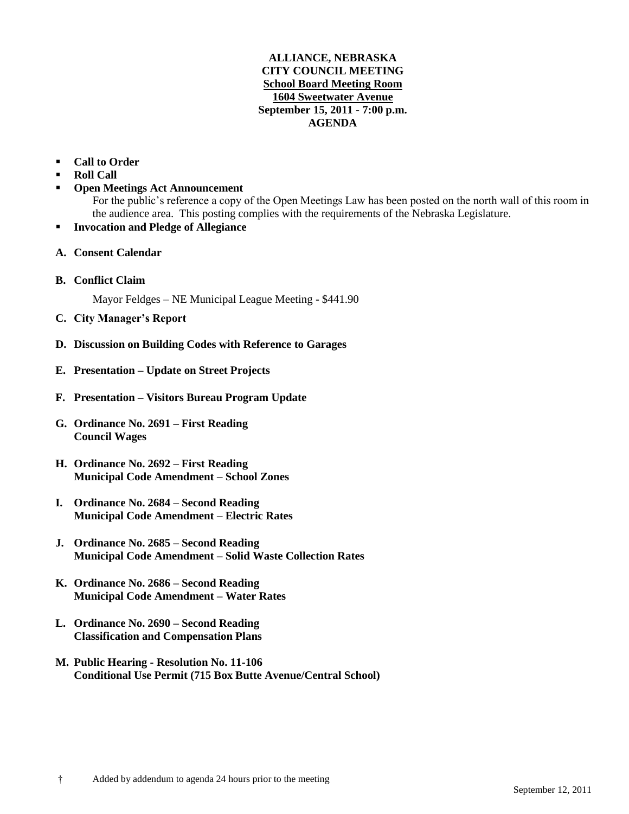## **ALLIANCE, NEBRASKA CITY COUNCIL MEETING School Board Meeting Room 1604 Sweetwater Avenue September 15, 2011 - 7:00 p.m. AGENDA**

## **Call to Order**

- **Roll Call**
- **Open Meetings Act Announcement**

For the public's reference a copy of the Open Meetings Law has been posted on the north wall of this room in the audience area. This posting complies with the requirements of the Nebraska Legislature.

- **Invocation and Pledge of Allegiance**
- **A. Consent Calendar**
- **B. Conflict Claim**

Mayor Feldges – NE Municipal League Meeting - \$441.90

- **C. City Manager's Report**
- **D. Discussion on Building Codes with Reference to Garages**
- **E. Presentation – Update on Street Projects**
- **F. Presentation – Visitors Bureau Program Update**
- **G. Ordinance No. 2691 – First Reading Council Wages**
- **H. Ordinance No. 2692 – First Reading Municipal Code Amendment – School Zones**
- **I. Ordinance No. 2684 – Second Reading Municipal Code Amendment – Electric Rates**
- **J. Ordinance No. 2685 – Second Reading Municipal Code Amendment – Solid Waste Collection Rates**
- **K. Ordinance No. 2686 – Second Reading Municipal Code Amendment – Water Rates**
- **L. Ordinance No. 2690 – Second Reading Classification and Compensation Plans**
- **M. Public Hearing - Resolution No. 11-106 Conditional Use Permit (715 Box Butte Avenue/Central School)**